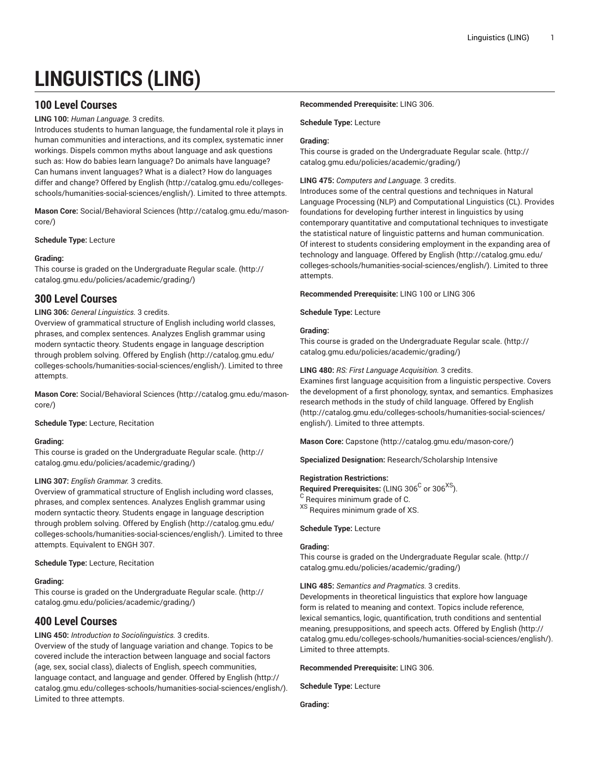# **LINGUISTICS (LING)**

# **100 Level Courses**

# **LING 100:** *Human Language.* 3 credits.

Introduces students to human language, the fundamental role it plays in human communities and interactions, and its complex, systematic inner workings. Dispels common myths about language and ask questions such as: How do babies learn language? Do animals have language? Can humans invent languages? What is a dialect? How do languages differ and change? Offered by [English](http://catalog.gmu.edu/colleges-schools/humanities-social-sciences/english/) ([http://catalog.gmu.edu/colleges](http://catalog.gmu.edu/colleges-schools/humanities-social-sciences/english/)[schools/humanities-social-sciences/english/](http://catalog.gmu.edu/colleges-schools/humanities-social-sciences/english/)). Limited to three attempts.

**Mason Core:** [Social/Behavioral](http://catalog.gmu.edu/mason-core/) Sciences ([http://catalog.gmu.edu/mason](http://catalog.gmu.edu/mason-core/)[core/\)](http://catalog.gmu.edu/mason-core/)

**Schedule Type:** Lecture

# **Grading:**

This course is graded on the [Undergraduate](http://catalog.gmu.edu/policies/academic/grading/) Regular scale. ([http://](http://catalog.gmu.edu/policies/academic/grading/) [catalog.gmu.edu/policies/academic/grading/\)](http://catalog.gmu.edu/policies/academic/grading/)

# **300 Level Courses**

# **LING 306:** *General Linguistics.* 3 credits.

Overview of grammatical structure of English including world classes, phrases, and complex sentences. Analyzes English grammar using modern syntactic theory. Students engage in language description through problem solving. Offered by [English](http://catalog.gmu.edu/colleges-schools/humanities-social-sciences/english/) ([http://catalog.gmu.edu/](http://catalog.gmu.edu/colleges-schools/humanities-social-sciences/english/) [colleges-schools/humanities-social-sciences/english/](http://catalog.gmu.edu/colleges-schools/humanities-social-sciences/english/)). Limited to three attempts.

**Mason Core:** [Social/Behavioral](http://catalog.gmu.edu/mason-core/) Sciences ([http://catalog.gmu.edu/mason](http://catalog.gmu.edu/mason-core/)[core/\)](http://catalog.gmu.edu/mason-core/)

**Schedule Type:** Lecture, Recitation

# **Grading:**

This course is graded on the [Undergraduate](http://catalog.gmu.edu/policies/academic/grading/) Regular scale. ([http://](http://catalog.gmu.edu/policies/academic/grading/) [catalog.gmu.edu/policies/academic/grading/\)](http://catalog.gmu.edu/policies/academic/grading/)

# **LING 307:** *English Grammar.* 3 credits.

Overview of grammatical structure of English including word classes, phrases, and complex sentences. Analyzes English grammar using modern syntactic theory. Students engage in language description through problem solving. Offered by [English](http://catalog.gmu.edu/colleges-schools/humanities-social-sciences/english/) ([http://catalog.gmu.edu/](http://catalog.gmu.edu/colleges-schools/humanities-social-sciences/english/) [colleges-schools/humanities-social-sciences/english/](http://catalog.gmu.edu/colleges-schools/humanities-social-sciences/english/)). Limited to three attempts. Equivalent to ENGH 307.

# **Schedule Type:** Lecture, Recitation

# **Grading:**

This course is graded on the [Undergraduate](http://catalog.gmu.edu/policies/academic/grading/) Regular scale. ([http://](http://catalog.gmu.edu/policies/academic/grading/) [catalog.gmu.edu/policies/academic/grading/\)](http://catalog.gmu.edu/policies/academic/grading/)

# **400 Level Courses**

# **LING 450:** *Introduction to Sociolinguistics.* 3 credits.

Overview of the study of language variation and change. Topics to be covered include the interaction between language and social factors (age, sex, social class), dialects of English, speech communities, language contact, and language and gender. Offered by [English](http://catalog.gmu.edu/colleges-schools/humanities-social-sciences/english/) ([http://](http://catalog.gmu.edu/colleges-schools/humanities-social-sciences/english/) [catalog.gmu.edu/colleges-schools/humanities-social-sciences/english/](http://catalog.gmu.edu/colleges-schools/humanities-social-sciences/english/)). Limited to three attempts.

# **Recommended Prerequisite:** LING 306.

# **Schedule Type:** Lecture

# **Grading:**

This course is graded on the [Undergraduate](http://catalog.gmu.edu/policies/academic/grading/) Regular scale. ([http://](http://catalog.gmu.edu/policies/academic/grading/) [catalog.gmu.edu/policies/academic/grading/](http://catalog.gmu.edu/policies/academic/grading/))

# **LING 475:** *Computers and Language.* 3 credits.

Introduces some of the central questions and techniques in Natural Language Processing (NLP) and Computational Linguistics (CL). Provides foundations for developing further interest in linguistics by using contemporary quantitative and computational techniques to investigate the statistical nature of linguistic patterns and human communication. Of interest to students considering employment in the expanding area of technology and language. Offered by [English \(http://catalog.gmu.edu/](http://catalog.gmu.edu/colleges-schools/humanities-social-sciences/english/) [colleges-schools/humanities-social-sciences/english/\)](http://catalog.gmu.edu/colleges-schools/humanities-social-sciences/english/). Limited to three attempts.

**Recommended Prerequisite:** LING 100 or LING 306

**Schedule Type:** Lecture

# **Grading:**

This course is graded on the [Undergraduate](http://catalog.gmu.edu/policies/academic/grading/) Regular scale. ([http://](http://catalog.gmu.edu/policies/academic/grading/) [catalog.gmu.edu/policies/academic/grading/](http://catalog.gmu.edu/policies/academic/grading/))

# **LING 480:** *RS: First Language Acquisition.* 3 credits.

Examines first language acquisition from a linguistic perspective. Covers the development of a first phonology, syntax, and semantics. Emphasizes research methods in the study of child language. Offered by [English](http://catalog.gmu.edu/colleges-schools/humanities-social-sciences/english/) [\(http://catalog.gmu.edu/colleges-schools/humanities-social-sciences/](http://catalog.gmu.edu/colleges-schools/humanities-social-sciences/english/) [english/\)](http://catalog.gmu.edu/colleges-schools/humanities-social-sciences/english/). Limited to three attempts.

**Mason Core:** [Capstone](http://catalog.gmu.edu/mason-core/) ([http://catalog.gmu.edu/mason-core/\)](http://catalog.gmu.edu/mason-core/)

**Specialized Designation:** Research/Scholarship Intensive

# **Registration Restrictions:**

 $\mathsf{Required}$  Prerequisites: (LING 306 $^\mathsf{C}$  or 306 $^\mathsf{XS}$ ). <sup>C</sup> Requires minimum grade of C. <sup>XS</sup> Requires minimum grade of XS.

**Schedule Type:** Lecture

# **Grading:**

This course is graded on the [Undergraduate](http://catalog.gmu.edu/policies/academic/grading/) Regular scale. ([http://](http://catalog.gmu.edu/policies/academic/grading/) [catalog.gmu.edu/policies/academic/grading/](http://catalog.gmu.edu/policies/academic/grading/))

**LING 485:** *Semantics and Pragmatics.* 3 credits.

Developments in theoretical linguistics that explore how language form is related to meaning and context. Topics include reference, lexical semantics, logic, quantification, truth conditions and sentential meaning, presuppositions, and speech acts. Offered by [English](http://catalog.gmu.edu/colleges-schools/humanities-social-sciences/english/) [\(http://](http://catalog.gmu.edu/colleges-schools/humanities-social-sciences/english/) [catalog.gmu.edu/colleges-schools/humanities-social-sciences/english/](http://catalog.gmu.edu/colleges-schools/humanities-social-sciences/english/)). Limited to three attempts.

**Recommended Prerequisite:** LING 306.

**Schedule Type:** Lecture

**Grading:**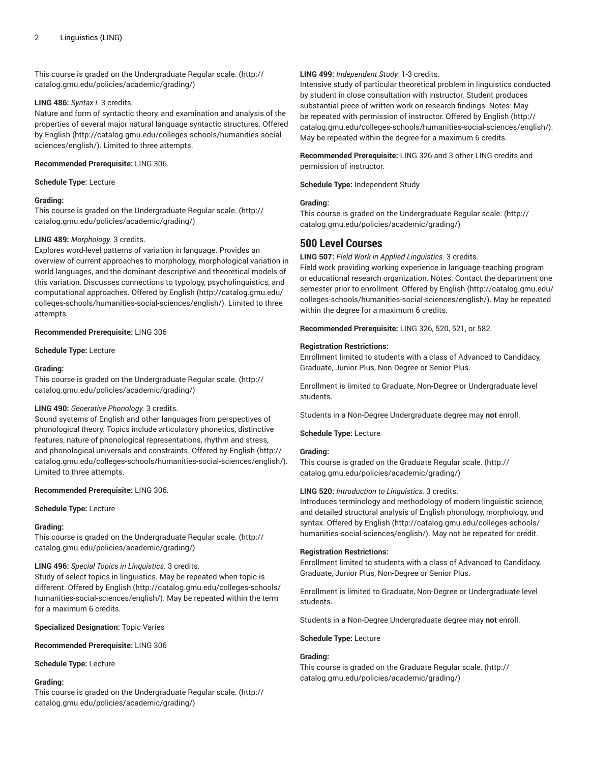This course is graded on the [Undergraduate](http://catalog.gmu.edu/policies/academic/grading/) Regular scale. ([http://](http://catalog.gmu.edu/policies/academic/grading/) [catalog.gmu.edu/policies/academic/grading/\)](http://catalog.gmu.edu/policies/academic/grading/)

## **LING 486:** *Syntax I.* 3 credits.

Nature and form of syntactic theory, and examination and analysis of the properties of several major natural language syntactic structures. Offered by [English](http://catalog.gmu.edu/colleges-schools/humanities-social-sciences/english/) ([http://catalog.gmu.edu/colleges-schools/humanities-social](http://catalog.gmu.edu/colleges-schools/humanities-social-sciences/english/)[sciences/english/\)](http://catalog.gmu.edu/colleges-schools/humanities-social-sciences/english/). Limited to three attempts.

## **Recommended Prerequisite:** LING 306.

## **Schedule Type:** Lecture

# **Grading:**

This course is graded on the [Undergraduate](http://catalog.gmu.edu/policies/academic/grading/) Regular scale. ([http://](http://catalog.gmu.edu/policies/academic/grading/) [catalog.gmu.edu/policies/academic/grading/\)](http://catalog.gmu.edu/policies/academic/grading/)

# **LING 489:** *Morphology.* 3 credits.

Explores word-level patterns of variation in language. Provides an overview of current approaches to morphology, morphological variation in world languages, and the dominant descriptive and theoretical models of this variation. Discusses connections to typology, psycholinguistics, and computational approaches. Offered by [English](http://catalog.gmu.edu/colleges-schools/humanities-social-sciences/english/) ([http://catalog.gmu.edu/](http://catalog.gmu.edu/colleges-schools/humanities-social-sciences/english/) [colleges-schools/humanities-social-sciences/english/](http://catalog.gmu.edu/colleges-schools/humanities-social-sciences/english/)). Limited to three attempts.

# **Recommended Prerequisite:** LING 306

**Schedule Type:** Lecture

# **Grading:**

This course is graded on the [Undergraduate](http://catalog.gmu.edu/policies/academic/grading/) Regular scale. ([http://](http://catalog.gmu.edu/policies/academic/grading/) [catalog.gmu.edu/policies/academic/grading/\)](http://catalog.gmu.edu/policies/academic/grading/)

# **LING 490:** *Generative Phonology.* 3 credits.

Sound systems of English and other languages from perspectives of phonological theory. Topics include articulatory phonetics, distinctive features, nature of phonological representations, rhythm and stress, and phonological universals and constraints. Offered by [English \(http://](http://catalog.gmu.edu/colleges-schools/humanities-social-sciences/english/) [catalog.gmu.edu/colleges-schools/humanities-social-sciences/english/](http://catalog.gmu.edu/colleges-schools/humanities-social-sciences/english/)). Limited to three attempts.

# **Recommended Prerequisite:** LING 306.

# **Schedule Type:** Lecture

# **Grading:**

This course is graded on the [Undergraduate](http://catalog.gmu.edu/policies/academic/grading/) Regular scale. ([http://](http://catalog.gmu.edu/policies/academic/grading/) [catalog.gmu.edu/policies/academic/grading/\)](http://catalog.gmu.edu/policies/academic/grading/)

# **LING 496:** *Special Topics in Linguistics.* 3 credits.

Study of select topics in linguistics. May be repeated when topic is different. Offered by [English](http://catalog.gmu.edu/colleges-schools/humanities-social-sciences/english/) ([http://catalog.gmu.edu/colleges-schools/](http://catalog.gmu.edu/colleges-schools/humanities-social-sciences/english/) [humanities-social-sciences/english/](http://catalog.gmu.edu/colleges-schools/humanities-social-sciences/english/)). May be repeated within the term for a maximum 6 credits.

**Specialized Designation:** Topic Varies

# **Recommended Prerequisite:** LING 306

**Schedule Type:** Lecture

# **Grading:**

This course is graded on the [Undergraduate](http://catalog.gmu.edu/policies/academic/grading/) Regular scale. ([http://](http://catalog.gmu.edu/policies/academic/grading/) [catalog.gmu.edu/policies/academic/grading/\)](http://catalog.gmu.edu/policies/academic/grading/)

## **LING 499:** *Independent Study.* 1-3 credits.

Intensive study of particular theoretical problem in linguistics conducted by student in close consultation with instructor. Student produces substantial piece of written work on research findings. Notes: May be repeated with permission of instructor. Offered by [English](http://catalog.gmu.edu/colleges-schools/humanities-social-sciences/english/) ([http://](http://catalog.gmu.edu/colleges-schools/humanities-social-sciences/english/) [catalog.gmu.edu/colleges-schools/humanities-social-sciences/english/](http://catalog.gmu.edu/colleges-schools/humanities-social-sciences/english/)). May be repeated within the degree for a maximum 6 credits.

**Recommended Prerequisite:** LING 326 and 3 other LING credits and permission of instructor.

**Schedule Type:** Independent Study

# **Grading:**

This course is graded on the [Undergraduate](http://catalog.gmu.edu/policies/academic/grading/) Regular scale. ([http://](http://catalog.gmu.edu/policies/academic/grading/) [catalog.gmu.edu/policies/academic/grading/](http://catalog.gmu.edu/policies/academic/grading/))

# **500 Level Courses**

# **LING 507:** *Field Work in Applied Linguistics.* 3 credits.

Field work providing working experience in language-teaching program or educational research organization. Notes: Contact the department one semester prior to enrollment. Offered by [English](http://catalog.gmu.edu/colleges-schools/humanities-social-sciences/english/) ([http://catalog.gmu.edu/](http://catalog.gmu.edu/colleges-schools/humanities-social-sciences/english/) [colleges-schools/humanities-social-sciences/english/\)](http://catalog.gmu.edu/colleges-schools/humanities-social-sciences/english/). May be repeated within the degree for a maximum 6 credits.

**Recommended Prerequisite:** LING 326, 520, 521, or 582.

# **Registration Restrictions:**

Enrollment limited to students with a class of Advanced to Candidacy, Graduate, Junior Plus, Non-Degree or Senior Plus.

Enrollment is limited to Graduate, Non-Degree or Undergraduate level students.

Students in a Non-Degree Undergraduate degree may **not** enroll.

**Schedule Type:** Lecture

# **Grading:**

This course is graded on the [Graduate Regular scale.](http://catalog.gmu.edu/policies/academic/grading/) ([http://](http://catalog.gmu.edu/policies/academic/grading/) [catalog.gmu.edu/policies/academic/grading/](http://catalog.gmu.edu/policies/academic/grading/))

# **LING 520:** *Introduction to Linguistics.* 3 credits.

Introduces terminology and methodology of modern linguistic science, and detailed structural analysis of English phonology, morphology, and syntax. Offered by [English](http://catalog.gmu.edu/colleges-schools/humanities-social-sciences/english/) ([http://catalog.gmu.edu/colleges-schools/](http://catalog.gmu.edu/colleges-schools/humanities-social-sciences/english/) [humanities-social-sciences/english/\)](http://catalog.gmu.edu/colleges-schools/humanities-social-sciences/english/). May not be repeated for credit.

# **Registration Restrictions:**

Enrollment limited to students with a class of Advanced to Candidacy, Graduate, Junior Plus, Non-Degree or Senior Plus.

Enrollment is limited to Graduate, Non-Degree or Undergraduate level students.

Students in a Non-Degree Undergraduate degree may **not** enroll.

# **Schedule Type:** Lecture

# **Grading:**

This course is graded on the [Graduate Regular scale.](http://catalog.gmu.edu/policies/academic/grading/) ([http://](http://catalog.gmu.edu/policies/academic/grading/) [catalog.gmu.edu/policies/academic/grading/](http://catalog.gmu.edu/policies/academic/grading/))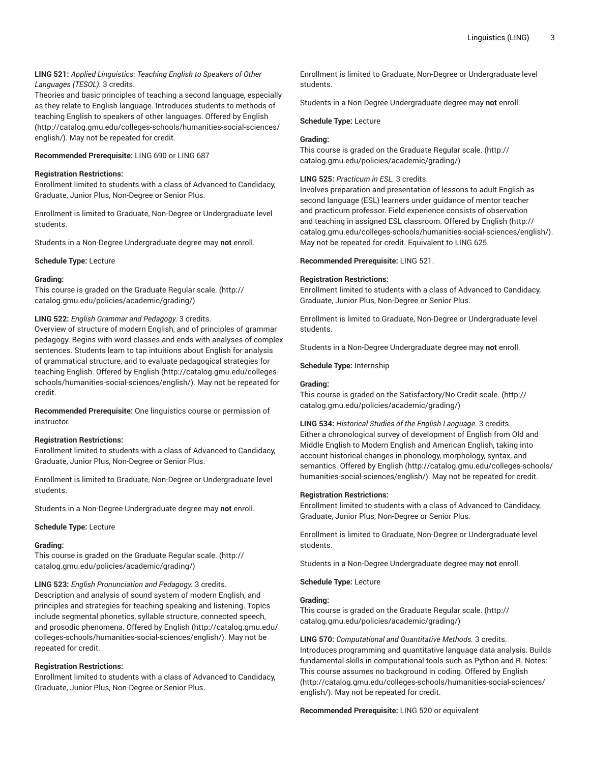# **LING 521:** *Applied Linguistics: Teaching English to Speakers of Other Languages (TESOL).* 3 credits.

Theories and basic principles of teaching a second language, especially as they relate to English language. Introduces students to methods of teaching English to speakers of other languages. Offered by [English](http://catalog.gmu.edu/colleges-schools/humanities-social-sciences/english/) ([http://catalog.gmu.edu/colleges-schools/humanities-social-sciences/](http://catalog.gmu.edu/colleges-schools/humanities-social-sciences/english/) [english/](http://catalog.gmu.edu/colleges-schools/humanities-social-sciences/english/)). May not be repeated for credit.

# **Recommended Prerequisite:** LING 690 or LING 687

# **Registration Restrictions:**

Enrollment limited to students with a class of Advanced to Candidacy, Graduate, Junior Plus, Non-Degree or Senior Plus.

Enrollment is limited to Graduate, Non-Degree or Undergraduate level students.

Students in a Non-Degree Undergraduate degree may **not** enroll.

# **Schedule Type:** Lecture

# **Grading:**

This course is graded on the [Graduate Regular scale.](http://catalog.gmu.edu/policies/academic/grading/) [\(http://](http://catalog.gmu.edu/policies/academic/grading/) [catalog.gmu.edu/policies/academic/grading/\)](http://catalog.gmu.edu/policies/academic/grading/)

# **LING 522:** *English Grammar and Pedagogy.* 3 credits.

Overview of structure of modern English, and of principles of grammar pedagogy. Begins with word classes and ends with analyses of complex sentences. Students learn to tap intuitions about English for analysis of grammatical structure, and to evaluate pedagogical strategies for teaching English. Offered by [English](http://catalog.gmu.edu/colleges-schools/humanities-social-sciences/english/) [\(http://catalog.gmu.edu/colleges](http://catalog.gmu.edu/colleges-schools/humanities-social-sciences/english/)[schools/humanities-social-sciences/english/](http://catalog.gmu.edu/colleges-schools/humanities-social-sciences/english/)). May not be repeated for credit.

**Recommended Prerequisite:** One linguistics course or permission of instructor.

# **Registration Restrictions:**

Enrollment limited to students with a class of Advanced to Candidacy, Graduate, Junior Plus, Non-Degree or Senior Plus.

Enrollment is limited to Graduate, Non-Degree or Undergraduate level students.

Students in a Non-Degree Undergraduate degree may **not** enroll.

**Schedule Type:** Lecture

# **Grading:**

This course is graded on the [Graduate Regular scale.](http://catalog.gmu.edu/policies/academic/grading/) [\(http://](http://catalog.gmu.edu/policies/academic/grading/) [catalog.gmu.edu/policies/academic/grading/\)](http://catalog.gmu.edu/policies/academic/grading/)

**LING 523:** *English Pronunciation and Pedagogy.* 3 credits.

Description and analysis of sound system of modern English, and principles and strategies for teaching speaking and listening. Topics include segmental phonetics, syllable structure, connected speech, and prosodic phenomena. Offered by [English](http://catalog.gmu.edu/colleges-schools/humanities-social-sciences/english/) ([http://catalog.gmu.edu/](http://catalog.gmu.edu/colleges-schools/humanities-social-sciences/english/) [colleges-schools/humanities-social-sciences/english/](http://catalog.gmu.edu/colleges-schools/humanities-social-sciences/english/)). May not be repeated for credit.

# **Registration Restrictions:**

Enrollment limited to students with a class of Advanced to Candidacy, Graduate, Junior Plus, Non-Degree or Senior Plus.

Enrollment is limited to Graduate, Non-Degree or Undergraduate level students.

Students in a Non-Degree Undergraduate degree may **not** enroll.

**Schedule Type:** Lecture

# **Grading:**

This course is graded on the [Graduate Regular scale.](http://catalog.gmu.edu/policies/academic/grading/) ([http://](http://catalog.gmu.edu/policies/academic/grading/) [catalog.gmu.edu/policies/academic/grading/](http://catalog.gmu.edu/policies/academic/grading/))

# **LING 525:** *Practicum in ESL.* 3 credits.

Involves preparation and presentation of lessons to adult English as second language (ESL) learners under guidance of mentor teacher and practicum professor. Field experience consists of observation and teaching in assigned ESL classroom. Offered by [English \(http://](http://catalog.gmu.edu/colleges-schools/humanities-social-sciences/english/) [catalog.gmu.edu/colleges-schools/humanities-social-sciences/english/](http://catalog.gmu.edu/colleges-schools/humanities-social-sciences/english/)). May not be repeated for credit. Equivalent to LING 625.

**Recommended Prerequisite:** LING 521.

# **Registration Restrictions:**

Enrollment limited to students with a class of Advanced to Candidacy, Graduate, Junior Plus, Non-Degree or Senior Plus.

Enrollment is limited to Graduate, Non-Degree or Undergraduate level students.

Students in a Non-Degree Undergraduate degree may **not** enroll.

**Schedule Type:** Internship

# **Grading:**

This course is graded on the [Satisfactory/No](http://catalog.gmu.edu/policies/academic/grading/) Credit scale. [\(http://](http://catalog.gmu.edu/policies/academic/grading/) [catalog.gmu.edu/policies/academic/grading/](http://catalog.gmu.edu/policies/academic/grading/))

**LING 534:** *Historical Studies of the English Language.* 3 credits. Either a chronological survey of development of English from Old and Middle English to Modern English and American English, taking into account historical changes in phonology, morphology, syntax, and semantics. Offered by [English \(http://catalog.gmu.edu/colleges-schools/](http://catalog.gmu.edu/colleges-schools/humanities-social-sciences/english/) [humanities-social-sciences/english/\)](http://catalog.gmu.edu/colleges-schools/humanities-social-sciences/english/). May not be repeated for credit.

# **Registration Restrictions:**

Enrollment limited to students with a class of Advanced to Candidacy, Graduate, Junior Plus, Non-Degree or Senior Plus.

Enrollment is limited to Graduate, Non-Degree or Undergraduate level students.

Students in a Non-Degree Undergraduate degree may **not** enroll.

**Schedule Type:** Lecture

# **Grading:**

This course is graded on the [Graduate Regular scale.](http://catalog.gmu.edu/policies/academic/grading/) ([http://](http://catalog.gmu.edu/policies/academic/grading/) [catalog.gmu.edu/policies/academic/grading/](http://catalog.gmu.edu/policies/academic/grading/))

**LING 570:** *Computational and Quantitative Methods.* 3 credits. Introduces programming and quantitative language data analysis. Builds fundamental skills in computational tools such as Python and R. Notes: This course assumes no background in coding. Offered by [English](http://catalog.gmu.edu/colleges-schools/humanities-social-sciences/english/) [\(http://catalog.gmu.edu/colleges-schools/humanities-social-sciences/](http://catalog.gmu.edu/colleges-schools/humanities-social-sciences/english/) [english/\)](http://catalog.gmu.edu/colleges-schools/humanities-social-sciences/english/). May not be repeated for credit.

# **Recommended Prerequisite:** LING 520 or equivalent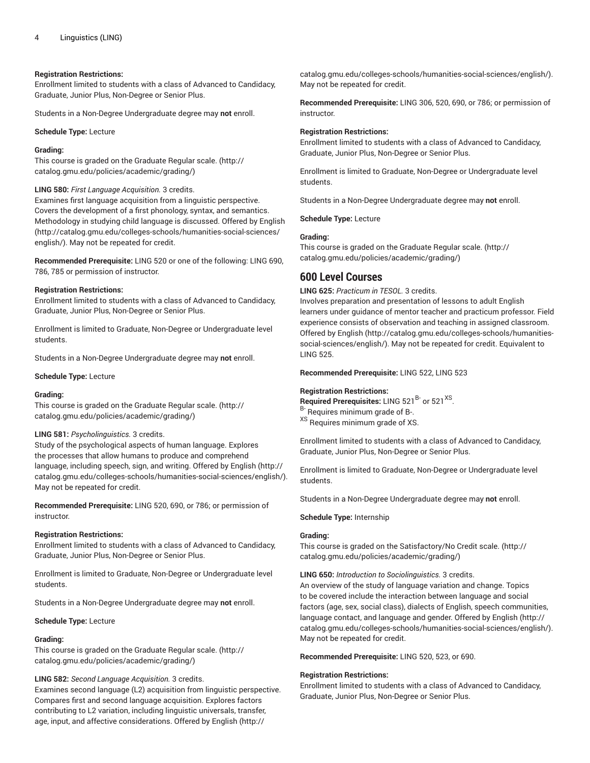# **Registration Restrictions:**

Enrollment limited to students with a class of Advanced to Candidacy, Graduate, Junior Plus, Non-Degree or Senior Plus.

Students in a Non-Degree Undergraduate degree may **not** enroll.

**Schedule Type:** Lecture

#### **Grading:**

This course is graded on the [Graduate Regular scale.](http://catalog.gmu.edu/policies/academic/grading/) [\(http://](http://catalog.gmu.edu/policies/academic/grading/) [catalog.gmu.edu/policies/academic/grading/\)](http://catalog.gmu.edu/policies/academic/grading/)

**LING 580:** *First Language Acquisition.* 3 credits.

Examines first language acquisition from a linguistic perspective. Covers the development of a first phonology, syntax, and semantics. Methodology in studying child language is discussed. Offered by [English](http://catalog.gmu.edu/colleges-schools/humanities-social-sciences/english/) ([http://catalog.gmu.edu/colleges-schools/humanities-social-sciences/](http://catalog.gmu.edu/colleges-schools/humanities-social-sciences/english/) [english/](http://catalog.gmu.edu/colleges-schools/humanities-social-sciences/english/)). May not be repeated for credit.

**Recommended Prerequisite:** LING 520 or one of the following: LING 690, 786, 785 or permission of instructor.

#### **Registration Restrictions:**

Enrollment limited to students with a class of Advanced to Candidacy, Graduate, Junior Plus, Non-Degree or Senior Plus.

Enrollment is limited to Graduate, Non-Degree or Undergraduate level students.

Students in a Non-Degree Undergraduate degree may **not** enroll.

#### **Schedule Type:** Lecture

#### **Grading:**

This course is graded on the [Graduate Regular scale.](http://catalog.gmu.edu/policies/academic/grading/) [\(http://](http://catalog.gmu.edu/policies/academic/grading/) [catalog.gmu.edu/policies/academic/grading/\)](http://catalog.gmu.edu/policies/academic/grading/)

#### **LING 581:** *Psycholinguistics.* 3 credits.

Study of the psychological aspects of human language. Explores the processes that allow humans to produce and comprehend language, including speech, sign, and writing. Offered by [English \(http://](http://catalog.gmu.edu/colleges-schools/humanities-social-sciences/english/) [catalog.gmu.edu/colleges-schools/humanities-social-sciences/english/](http://catalog.gmu.edu/colleges-schools/humanities-social-sciences/english/)). May not be repeated for credit.

**Recommended Prerequisite:** LING 520, 690, or 786; or permission of instructor.

#### **Registration Restrictions:**

Enrollment limited to students with a class of Advanced to Candidacy, Graduate, Junior Plus, Non-Degree or Senior Plus.

Enrollment is limited to Graduate, Non-Degree or Undergraduate level students.

Students in a Non-Degree Undergraduate degree may **not** enroll.

**Schedule Type:** Lecture

## **Grading:**

This course is graded on the [Graduate Regular scale.](http://catalog.gmu.edu/policies/academic/grading/) [\(http://](http://catalog.gmu.edu/policies/academic/grading/) [catalog.gmu.edu/policies/academic/grading/\)](http://catalog.gmu.edu/policies/academic/grading/)

#### **LING 582:** *Second Language Acquisition.* 3 credits.

Examines second language (L2) acquisition from linguistic perspective. Compares first and second language acquisition. Explores factors contributing to L2 variation, including linguistic universals, transfer, age, input, and affective considerations. Offered by [English](http://catalog.gmu.edu/colleges-schools/humanities-social-sciences/english/) [\(http://](http://catalog.gmu.edu/colleges-schools/humanities-social-sciences/english/)

[catalog.gmu.edu/colleges-schools/humanities-social-sciences/english/](http://catalog.gmu.edu/colleges-schools/humanities-social-sciences/english/)). May not be repeated for credit.

**Recommended Prerequisite:** LING 306, 520, 690, or 786; or permission of instructor.

#### **Registration Restrictions:**

Enrollment limited to students with a class of Advanced to Candidacy, Graduate, Junior Plus, Non-Degree or Senior Plus.

Enrollment is limited to Graduate, Non-Degree or Undergraduate level students.

Students in a Non-Degree Undergraduate degree may **not** enroll.

**Schedule Type:** Lecture

#### **Grading:**

This course is graded on the [Graduate Regular scale.](http://catalog.gmu.edu/policies/academic/grading/) ([http://](http://catalog.gmu.edu/policies/academic/grading/) [catalog.gmu.edu/policies/academic/grading/](http://catalog.gmu.edu/policies/academic/grading/))

# **600 Level Courses**

**LING 625:** *Practicum in TESOL.* 3 credits.

Involves preparation and presentation of lessons to adult English learners under guidance of mentor teacher and practicum professor. Field experience consists of observation and teaching in assigned classroom. Offered by [English](http://catalog.gmu.edu/colleges-schools/humanities-social-sciences/english/) ([http://catalog.gmu.edu/colleges-schools/humanities](http://catalog.gmu.edu/colleges-schools/humanities-social-sciences/english/)[social-sciences/english/](http://catalog.gmu.edu/colleges-schools/humanities-social-sciences/english/)). May not be repeated for credit. Equivalent to LING 525.

**Recommended Prerequisite:** LING 522, LING 523

#### **Registration Restrictions:**

Required Prerequisites: LING 521<sup>B-</sup> or 521<sup>XS</sup>. <sup>B-</sup> Requires minimum grade of B-. XS Requires minimum grade of XS.

Enrollment limited to students with a class of Advanced to Candidacy, Graduate, Junior Plus, Non-Degree or Senior Plus.

Enrollment is limited to Graduate, Non-Degree or Undergraduate level students.

Students in a Non-Degree Undergraduate degree may **not** enroll.

#### **Schedule Type:** Internship

#### **Grading:**

This course is graded on the [Satisfactory/No](http://catalog.gmu.edu/policies/academic/grading/) Credit scale. [\(http://](http://catalog.gmu.edu/policies/academic/grading/) [catalog.gmu.edu/policies/academic/grading/](http://catalog.gmu.edu/policies/academic/grading/))

**LING 650:** *Introduction to Sociolinguistics.* 3 credits.

An overview of the study of language variation and change. Topics to be covered include the interaction between language and social factors (age, sex, social class), dialects of English, speech communities, language contact, and language and gender. Offered by [English \(http://](http://catalog.gmu.edu/colleges-schools/humanities-social-sciences/english/) [catalog.gmu.edu/colleges-schools/humanities-social-sciences/english/](http://catalog.gmu.edu/colleges-schools/humanities-social-sciences/english/)). May not be repeated for credit.

**Recommended Prerequisite:** LING 520, 523, or 690.

#### **Registration Restrictions:**

Enrollment limited to students with a class of Advanced to Candidacy, Graduate, Junior Plus, Non-Degree or Senior Plus.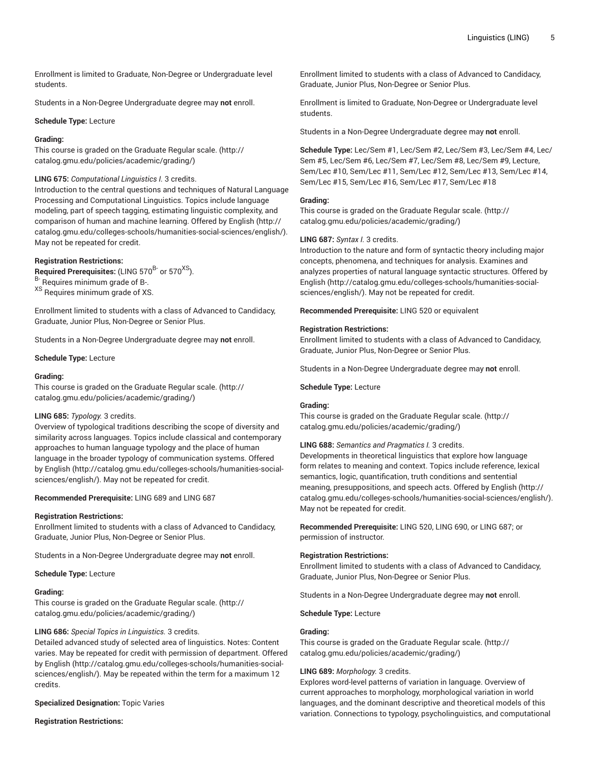Enrollment is limited to Graduate, Non-Degree or Undergraduate level students.

Students in a Non-Degree Undergraduate degree may **not** enroll.

## **Schedule Type:** Lecture

## **Grading:**

This course is graded on the [Graduate Regular scale.](http://catalog.gmu.edu/policies/academic/grading/) [\(http://](http://catalog.gmu.edu/policies/academic/grading/) [catalog.gmu.edu/policies/academic/grading/\)](http://catalog.gmu.edu/policies/academic/grading/)

## **LING 675:** *Computational Linguistics I.* 3 credits.

Introduction to the central questions and techniques of Natural Language Processing and Computational Linguistics. Topics include language modeling, part of speech tagging, estimating linguistic complexity, and comparison of human and machine learning. Offered by [English](http://catalog.gmu.edu/colleges-schools/humanities-social-sciences/english/) ([http://](http://catalog.gmu.edu/colleges-schools/humanities-social-sciences/english/) [catalog.gmu.edu/colleges-schools/humanities-social-sciences/english/](http://catalog.gmu.edu/colleges-schools/humanities-social-sciences/english/)). May not be repeated for credit.

#### **Registration Restrictions:**

**Required Prerequisites:** (LING 570<sup>B-</sup> or 570<sup>XS</sup>). B- Requires minimum grade of B-.

XS Requires minimum grade of XS.

Enrollment limited to students with a class of Advanced to Candidacy, Graduate, Junior Plus, Non-Degree or Senior Plus.

Students in a Non-Degree Undergraduate degree may **not** enroll.

**Schedule Type:** Lecture

#### **Grading:**

This course is graded on the [Graduate Regular scale.](http://catalog.gmu.edu/policies/academic/grading/) [\(http://](http://catalog.gmu.edu/policies/academic/grading/) [catalog.gmu.edu/policies/academic/grading/\)](http://catalog.gmu.edu/policies/academic/grading/)

#### **LING 685:** *Typology.* 3 credits.

Overview of typological traditions describing the scope of diversity and similarity across languages. Topics include classical and contemporary approaches to human language typology and the place of human language in the broader typology of communication systems. Offered by [English](http://catalog.gmu.edu/colleges-schools/humanities-social-sciences/english/) ([http://catalog.gmu.edu/colleges-schools/humanities-social](http://catalog.gmu.edu/colleges-schools/humanities-social-sciences/english/)[sciences/english/\)](http://catalog.gmu.edu/colleges-schools/humanities-social-sciences/english/). May not be repeated for credit.

#### **Recommended Prerequisite:** LING 689 and LING 687

#### **Registration Restrictions:**

Enrollment limited to students with a class of Advanced to Candidacy, Graduate, Junior Plus, Non-Degree or Senior Plus.

Students in a Non-Degree Undergraduate degree may **not** enroll.

**Schedule Type:** Lecture

#### **Grading:**

This course is graded on the [Graduate Regular scale.](http://catalog.gmu.edu/policies/academic/grading/) [\(http://](http://catalog.gmu.edu/policies/academic/grading/) [catalog.gmu.edu/policies/academic/grading/\)](http://catalog.gmu.edu/policies/academic/grading/)

#### **LING 686:** *Special Topics in Linguistics.* 3 credits.

Detailed advanced study of selected area of linguistics. Notes: Content varies. May be repeated for credit with permission of department. Offered by [English](http://catalog.gmu.edu/colleges-schools/humanities-social-sciences/english/) ([http://catalog.gmu.edu/colleges-schools/humanities-social](http://catalog.gmu.edu/colleges-schools/humanities-social-sciences/english/)[sciences/english/\)](http://catalog.gmu.edu/colleges-schools/humanities-social-sciences/english/). May be repeated within the term for a maximum 12 credits.

**Specialized Designation:** Topic Varies

**Registration Restrictions:**

Enrollment limited to students with a class of Advanced to Candidacy, Graduate, Junior Plus, Non-Degree or Senior Plus.

Enrollment is limited to Graduate, Non-Degree or Undergraduate level students.

Students in a Non-Degree Undergraduate degree may **not** enroll.

**Schedule Type:** Lec/Sem #1, Lec/Sem #2, Lec/Sem #3, Lec/Sem #4, Lec/ Sem #5, Lec/Sem #6, Lec/Sem #7, Lec/Sem #8, Lec/Sem #9, Lecture, Sem/Lec #10, Sem/Lec #11, Sem/Lec #12, Sem/Lec #13, Sem/Lec #14, Sem/Lec #15, Sem/Lec #16, Sem/Lec #17, Sem/Lec #18

#### **Grading:**

This course is graded on the [Graduate Regular scale.](http://catalog.gmu.edu/policies/academic/grading/) ([http://](http://catalog.gmu.edu/policies/academic/grading/) [catalog.gmu.edu/policies/academic/grading/](http://catalog.gmu.edu/policies/academic/grading/))

#### **LING 687:** *Syntax I.* 3 credits.

Introduction to the nature and form of syntactic theory including major concepts, phenomena, and techniques for analysis. Examines and analyzes properties of natural language syntactic structures. Offered by [English](http://catalog.gmu.edu/colleges-schools/humanities-social-sciences/english/) ([http://catalog.gmu.edu/colleges-schools/humanities-social](http://catalog.gmu.edu/colleges-schools/humanities-social-sciences/english/)[sciences/english/\)](http://catalog.gmu.edu/colleges-schools/humanities-social-sciences/english/). May not be repeated for credit.

**Recommended Prerequisite:** LING 520 or equivalent

#### **Registration Restrictions:**

Enrollment limited to students with a class of Advanced to Candidacy, Graduate, Junior Plus, Non-Degree or Senior Plus.

Students in a Non-Degree Undergraduate degree may **not** enroll.

#### **Schedule Type:** Lecture

#### **Grading:**

This course is graded on the [Graduate Regular scale.](http://catalog.gmu.edu/policies/academic/grading/) ([http://](http://catalog.gmu.edu/policies/academic/grading/) [catalog.gmu.edu/policies/academic/grading/](http://catalog.gmu.edu/policies/academic/grading/))

# **LING 688:** *Semantics and Pragmatics I.* 3 credits.

Developments in theoretical linguistics that explore how language form relates to meaning and context. Topics include reference, lexical semantics, logic, quantification, truth conditions and sentential meaning, presuppositions, and speech acts. Offered by [English](http://catalog.gmu.edu/colleges-schools/humanities-social-sciences/english/) [\(http://](http://catalog.gmu.edu/colleges-schools/humanities-social-sciences/english/) [catalog.gmu.edu/colleges-schools/humanities-social-sciences/english/](http://catalog.gmu.edu/colleges-schools/humanities-social-sciences/english/)). May not be repeated for credit.

**Recommended Prerequisite:** LING 520, LING 690, or LING 687; or permission of instructor.

#### **Registration Restrictions:**

Enrollment limited to students with a class of Advanced to Candidacy, Graduate, Junior Plus, Non-Degree or Senior Plus.

Students in a Non-Degree Undergraduate degree may **not** enroll.

**Schedule Type:** Lecture

#### **Grading:**

This course is graded on the [Graduate Regular scale.](http://catalog.gmu.edu/policies/academic/grading/) ([http://](http://catalog.gmu.edu/policies/academic/grading/) [catalog.gmu.edu/policies/academic/grading/](http://catalog.gmu.edu/policies/academic/grading/))

# **LING 689:** *Morphology.* 3 credits.

Explores word-level patterns of variation in language. Overview of current approaches to morphology, morphological variation in world languages, and the dominant descriptive and theoretical models of this variation. Connections to typology, psycholinguistics, and computational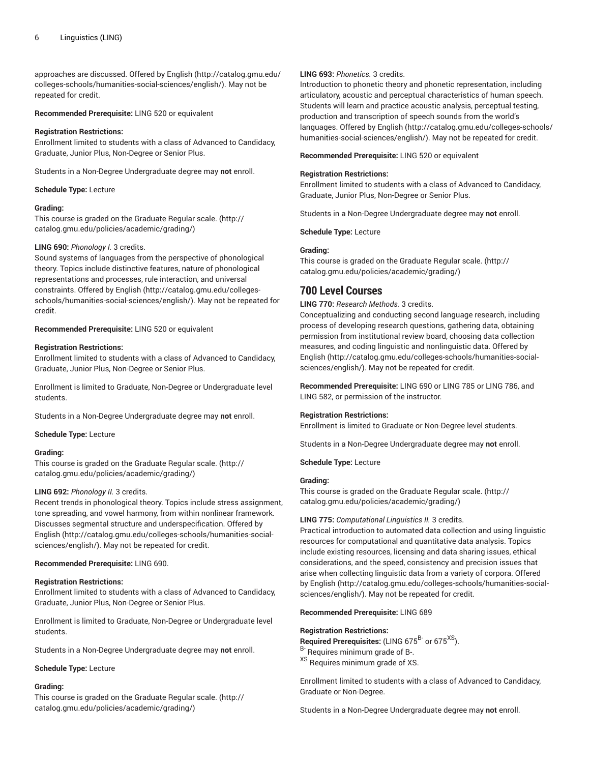approaches are discussed. Offered by [English \(http://catalog.gmu.edu/](http://catalog.gmu.edu/colleges-schools/humanities-social-sciences/english/) [colleges-schools/humanities-social-sciences/english/](http://catalog.gmu.edu/colleges-schools/humanities-social-sciences/english/)). May not be repeated for credit.

**Recommended Prerequisite:** LING 520 or equivalent

## **Registration Restrictions:**

Enrollment limited to students with a class of Advanced to Candidacy, Graduate, Junior Plus, Non-Degree or Senior Plus.

Students in a Non-Degree Undergraduate degree may **not** enroll.

## **Schedule Type:** Lecture

# **Grading:**

This course is graded on the [Graduate Regular scale.](http://catalog.gmu.edu/policies/academic/grading/) [\(http://](http://catalog.gmu.edu/policies/academic/grading/) [catalog.gmu.edu/policies/academic/grading/\)](http://catalog.gmu.edu/policies/academic/grading/)

#### **LING 690:** *Phonology I.* 3 credits.

Sound systems of languages from the perspective of phonological theory. Topics include distinctive features, nature of phonological representations and processes, rule interaction, and universal constraints. Offered by [English \(http://catalog.gmu.edu/colleges](http://catalog.gmu.edu/colleges-schools/humanities-social-sciences/english/)[schools/humanities-social-sciences/english/](http://catalog.gmu.edu/colleges-schools/humanities-social-sciences/english/)). May not be repeated for credit.

#### **Recommended Prerequisite:** LING 520 or equivalent

#### **Registration Restrictions:**

Enrollment limited to students with a class of Advanced to Candidacy, Graduate, Junior Plus, Non-Degree or Senior Plus.

Enrollment is limited to Graduate, Non-Degree or Undergraduate level students.

Students in a Non-Degree Undergraduate degree may **not** enroll.

**Schedule Type:** Lecture

# **Grading:**

This course is graded on the [Graduate Regular scale.](http://catalog.gmu.edu/policies/academic/grading/) [\(http://](http://catalog.gmu.edu/policies/academic/grading/) [catalog.gmu.edu/policies/academic/grading/\)](http://catalog.gmu.edu/policies/academic/grading/)

# **LING 692:** *Phonology II.* 3 credits.

Recent trends in phonological theory. Topics include stress assignment, tone spreading, and vowel harmony, from within nonlinear framework. Discusses segmental structure and underspecification. Offered by [English](http://catalog.gmu.edu/colleges-schools/humanities-social-sciences/english/) [\(http://catalog.gmu.edu/colleges-schools/humanities-social](http://catalog.gmu.edu/colleges-schools/humanities-social-sciences/english/)[sciences/english/\)](http://catalog.gmu.edu/colleges-schools/humanities-social-sciences/english/). May not be repeated for credit.

#### **Recommended Prerequisite:** LING 690.

# **Registration Restrictions:**

Enrollment limited to students with a class of Advanced to Candidacy, Graduate, Junior Plus, Non-Degree or Senior Plus.

Enrollment is limited to Graduate, Non-Degree or Undergraduate level students.

Students in a Non-Degree Undergraduate degree may **not** enroll.

#### **Schedule Type:** Lecture

# **Grading:**

This course is graded on the [Graduate Regular scale.](http://catalog.gmu.edu/policies/academic/grading/) [\(http://](http://catalog.gmu.edu/policies/academic/grading/) [catalog.gmu.edu/policies/academic/grading/\)](http://catalog.gmu.edu/policies/academic/grading/)

# **LING 693:** *Phonetics.* 3 credits.

Introduction to phonetic theory and phonetic representation, including articulatory, acoustic and perceptual characteristics of human speech. Students will learn and practice acoustic analysis, perceptual testing, production and transcription of speech sounds from the world's languages. Offered by [English](http://catalog.gmu.edu/colleges-schools/humanities-social-sciences/english/) [\(http://catalog.gmu.edu/colleges-schools/](http://catalog.gmu.edu/colleges-schools/humanities-social-sciences/english/) [humanities-social-sciences/english/\)](http://catalog.gmu.edu/colleges-schools/humanities-social-sciences/english/). May not be repeated for credit.

**Recommended Prerequisite:** LING 520 or equivalent

## **Registration Restrictions:**

Enrollment limited to students with a class of Advanced to Candidacy, Graduate, Junior Plus, Non-Degree or Senior Plus.

Students in a Non-Degree Undergraduate degree may **not** enroll.

**Schedule Type:** Lecture

#### **Grading:**

This course is graded on the [Graduate Regular scale.](http://catalog.gmu.edu/policies/academic/grading/) ([http://](http://catalog.gmu.edu/policies/academic/grading/) [catalog.gmu.edu/policies/academic/grading/](http://catalog.gmu.edu/policies/academic/grading/))

# **700 Level Courses**

**LING 770:** *Research Methods.* 3 credits.

Conceptualizing and conducting second language research, including process of developing research questions, gathering data, obtaining permission from institutional review board, choosing data collection measures, and coding linguistic and nonlinguistic data. Offered by [English](http://catalog.gmu.edu/colleges-schools/humanities-social-sciences/english/) ([http://catalog.gmu.edu/colleges-schools/humanities-social](http://catalog.gmu.edu/colleges-schools/humanities-social-sciences/english/)[sciences/english/\)](http://catalog.gmu.edu/colleges-schools/humanities-social-sciences/english/). May not be repeated for credit.

**Recommended Prerequisite:** LING 690 or LING 785 or LING 786, and LING 582, or permission of the instructor.

# **Registration Restrictions:**

Enrollment is limited to Graduate or Non-Degree level students.

Students in a Non-Degree Undergraduate degree may **not** enroll.

**Schedule Type:** Lecture

# **Grading:**

This course is graded on the [Graduate Regular scale.](http://catalog.gmu.edu/policies/academic/grading/) ([http://](http://catalog.gmu.edu/policies/academic/grading/) [catalog.gmu.edu/policies/academic/grading/](http://catalog.gmu.edu/policies/academic/grading/))

# **LING 775:** *Computational Linguistics II.* 3 credits.

Practical introduction to automated data collection and using linguistic resources for computational and quantitative data analysis. Topics include existing resources, licensing and data sharing issues, ethical considerations, and the speed, consistency and precision issues that arise when collecting linguistic data from a variety of corpora. Offered by [English](http://catalog.gmu.edu/colleges-schools/humanities-social-sciences/english/) [\(http://catalog.gmu.edu/colleges-schools/humanities-social](http://catalog.gmu.edu/colleges-schools/humanities-social-sciences/english/)[sciences/english/\)](http://catalog.gmu.edu/colleges-schools/humanities-social-sciences/english/). May not be repeated for credit.

**Recommended Prerequisite:** LING 689

#### **Registration Restrictions:**

Required Prerequisites: (LING 675<sup>B-</sup> or 675<sup>XS</sup>). B- Requires minimum grade of B-. XS Requires minimum grade of XS.

Enrollment limited to students with a class of Advanced to Candidacy, Graduate or Non-Degree.

Students in a Non-Degree Undergraduate degree may **not** enroll.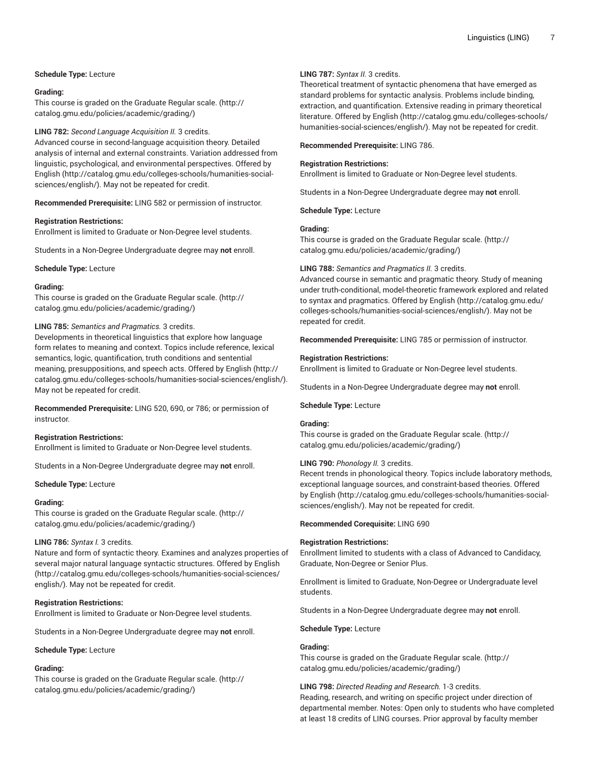# **Schedule Type:** Lecture

## **Grading:**

This course is graded on the [Graduate Regular scale.](http://catalog.gmu.edu/policies/academic/grading/) [\(http://](http://catalog.gmu.edu/policies/academic/grading/) [catalog.gmu.edu/policies/academic/grading/\)](http://catalog.gmu.edu/policies/academic/grading/)

# **LING 782:** *Second Language Acquisition II.* 3 credits.

Advanced course in second-language acquisition theory. Detailed analysis of internal and external constraints. Variation addressed from linguistic, psychological, and environmental perspectives. Offered by [English](http://catalog.gmu.edu/colleges-schools/humanities-social-sciences/english/) [\(http://catalog.gmu.edu/colleges-schools/humanities-social](http://catalog.gmu.edu/colleges-schools/humanities-social-sciences/english/)[sciences/english/\)](http://catalog.gmu.edu/colleges-schools/humanities-social-sciences/english/). May not be repeated for credit.

**Recommended Prerequisite:** LING 582 or permission of instructor.

#### **Registration Restrictions:**

Enrollment is limited to Graduate or Non-Degree level students.

Students in a Non-Degree Undergraduate degree may **not** enroll.

### **Schedule Type:** Lecture

## **Grading:**

This course is graded on the [Graduate Regular scale.](http://catalog.gmu.edu/policies/academic/grading/) [\(http://](http://catalog.gmu.edu/policies/academic/grading/) [catalog.gmu.edu/policies/academic/grading/\)](http://catalog.gmu.edu/policies/academic/grading/)

# **LING 785:** *Semantics and Pragmatics.* 3 credits.

Developments in theoretical linguistics that explore how language form relates to meaning and context. Topics include reference, lexical semantics, logic, quantification, truth conditions and sentential meaning, presuppositions, and speech acts. Offered by [English](http://catalog.gmu.edu/colleges-schools/humanities-social-sciences/english/) ([http://](http://catalog.gmu.edu/colleges-schools/humanities-social-sciences/english/) [catalog.gmu.edu/colleges-schools/humanities-social-sciences/english/](http://catalog.gmu.edu/colleges-schools/humanities-social-sciences/english/)). May not be repeated for credit.

**Recommended Prerequisite:** LING 520, 690, or 786; or permission of instructor.

#### **Registration Restrictions:**

Enrollment is limited to Graduate or Non-Degree level students.

Students in a Non-Degree Undergraduate degree may **not** enroll.

**Schedule Type:** Lecture

#### **Grading:**

This course is graded on the [Graduate Regular scale.](http://catalog.gmu.edu/policies/academic/grading/) [\(http://](http://catalog.gmu.edu/policies/academic/grading/) [catalog.gmu.edu/policies/academic/grading/\)](http://catalog.gmu.edu/policies/academic/grading/)

# **LING 786:** *Syntax I.* 3 credits.

Nature and form of syntactic theory. Examines and analyzes properties of several major natural language syntactic structures. Offered by [English](http://catalog.gmu.edu/colleges-schools/humanities-social-sciences/english/) ([http://catalog.gmu.edu/colleges-schools/humanities-social-sciences/](http://catalog.gmu.edu/colleges-schools/humanities-social-sciences/english/) [english/](http://catalog.gmu.edu/colleges-schools/humanities-social-sciences/english/)). May not be repeated for credit.

# **Registration Restrictions:**

Enrollment is limited to Graduate or Non-Degree level students.

Students in a Non-Degree Undergraduate degree may **not** enroll.

#### **Schedule Type:** Lecture

# **Grading:**

This course is graded on the [Graduate Regular scale.](http://catalog.gmu.edu/policies/academic/grading/) [\(http://](http://catalog.gmu.edu/policies/academic/grading/) [catalog.gmu.edu/policies/academic/grading/\)](http://catalog.gmu.edu/policies/academic/grading/)

# **LING 787:** *Syntax II.* 3 credits.

Theoretical treatment of syntactic phenomena that have emerged as standard problems for syntactic analysis. Problems include binding, extraction, and quantification. Extensive reading in primary theoretical literature. Offered by [English](http://catalog.gmu.edu/colleges-schools/humanities-social-sciences/english/) ([http://catalog.gmu.edu/colleges-schools/](http://catalog.gmu.edu/colleges-schools/humanities-social-sciences/english/) [humanities-social-sciences/english/\)](http://catalog.gmu.edu/colleges-schools/humanities-social-sciences/english/). May not be repeated for credit.

**Recommended Prerequisite:** LING 786.

## **Registration Restrictions:**

Enrollment is limited to Graduate or Non-Degree level students.

Students in a Non-Degree Undergraduate degree may **not** enroll.

**Schedule Type:** Lecture

# **Grading:**

This course is graded on the [Graduate Regular scale.](http://catalog.gmu.edu/policies/academic/grading/) ([http://](http://catalog.gmu.edu/policies/academic/grading/) [catalog.gmu.edu/policies/academic/grading/](http://catalog.gmu.edu/policies/academic/grading/))

#### **LING 788:** *Semantics and Pragmatics II.* 3 credits.

Advanced course in semantic and pragmatic theory. Study of meaning under truth-conditional, model-theoretic framework explored and related to syntax and pragmatics. Offered by [English](http://catalog.gmu.edu/colleges-schools/humanities-social-sciences/english/) [\(http://catalog.gmu.edu/](http://catalog.gmu.edu/colleges-schools/humanities-social-sciences/english/) [colleges-schools/humanities-social-sciences/english/\)](http://catalog.gmu.edu/colleges-schools/humanities-social-sciences/english/). May not be repeated for credit.

**Recommended Prerequisite:** LING 785 or permission of instructor.

#### **Registration Restrictions:**

Enrollment is limited to Graduate or Non-Degree level students.

Students in a Non-Degree Undergraduate degree may **not** enroll.

# **Schedule Type:** Lecture

#### **Grading:**

This course is graded on the [Graduate Regular scale.](http://catalog.gmu.edu/policies/academic/grading/) ([http://](http://catalog.gmu.edu/policies/academic/grading/) [catalog.gmu.edu/policies/academic/grading/](http://catalog.gmu.edu/policies/academic/grading/))

# **LING 790:** *Phonology II.* 3 credits.

Recent trends in phonological theory. Topics include laboratory methods, exceptional language sources, and constraint-based theories. Offered by [English](http://catalog.gmu.edu/colleges-schools/humanities-social-sciences/english/) [\(http://catalog.gmu.edu/colleges-schools/humanities-social](http://catalog.gmu.edu/colleges-schools/humanities-social-sciences/english/)[sciences/english/\)](http://catalog.gmu.edu/colleges-schools/humanities-social-sciences/english/). May not be repeated for credit.

**Recommended Corequisite:** LING 690

#### **Registration Restrictions:**

Enrollment limited to students with a class of Advanced to Candidacy, Graduate, Non-Degree or Senior Plus.

Enrollment is limited to Graduate, Non-Degree or Undergraduate level students.

Students in a Non-Degree Undergraduate degree may **not** enroll.

**Schedule Type:** Lecture

# **Grading:**

This course is graded on the [Graduate Regular scale.](http://catalog.gmu.edu/policies/academic/grading/) ([http://](http://catalog.gmu.edu/policies/academic/grading/) [catalog.gmu.edu/policies/academic/grading/](http://catalog.gmu.edu/policies/academic/grading/))

# **LING 798:** *Directed Reading and Research.* 1-3 credits.

Reading, research, and writing on specific project under direction of departmental member. Notes: Open only to students who have completed at least 18 credits of LING courses. Prior approval by faculty member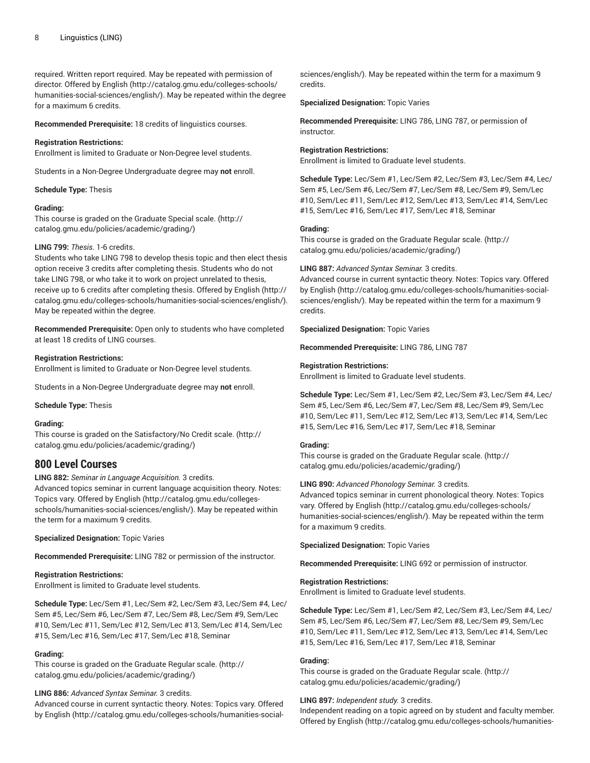required. Written report required. May be repeated with permission of director. Offered by [English \(http://catalog.gmu.edu/colleges-schools/](http://catalog.gmu.edu/colleges-schools/humanities-social-sciences/english/) [humanities-social-sciences/english/](http://catalog.gmu.edu/colleges-schools/humanities-social-sciences/english/)). May be repeated within the degree for a maximum 6 credits.

**Recommended Prerequisite:** 18 credits of linguistics courses.

## **Registration Restrictions:**

Enrollment is limited to Graduate or Non-Degree level students.

Students in a Non-Degree Undergraduate degree may **not** enroll.

#### **Schedule Type:** Thesis

#### **Grading:**

This course is graded on the [Graduate Special scale.](http://catalog.gmu.edu/policies/academic/grading/) ([http://](http://catalog.gmu.edu/policies/academic/grading/) [catalog.gmu.edu/policies/academic/grading/\)](http://catalog.gmu.edu/policies/academic/grading/)

## **LING 799:** *Thesis.* 1-6 credits.

Students who take LING 798 to develop thesis topic and then elect thesis option receive 3 credits after completing thesis. Students who do not take LING 798, or who take it to work on project unrelated to thesis, receive up to 6 credits after completing thesis. Offered by [English \(http://](http://catalog.gmu.edu/colleges-schools/humanities-social-sciences/english/) [catalog.gmu.edu/colleges-schools/humanities-social-sciences/english/](http://catalog.gmu.edu/colleges-schools/humanities-social-sciences/english/)). May be repeated within the degree.

**Recommended Prerequisite:** Open only to students who have completed at least 18 credits of LING courses.

# **Registration Restrictions:**

Enrollment is limited to Graduate or Non-Degree level students.

Students in a Non-Degree Undergraduate degree may **not** enroll.

**Schedule Type:** Thesis

#### **Grading:**

This course is graded on the [Satisfactory/No](http://catalog.gmu.edu/policies/academic/grading/) Credit scale. ([http://](http://catalog.gmu.edu/policies/academic/grading/) [catalog.gmu.edu/policies/academic/grading/\)](http://catalog.gmu.edu/policies/academic/grading/)

# **800 Level Courses**

**LING 882:** *Seminar in Language Acquisition.* 3 credits.

Advanced topics seminar in current language acquisition theory. Notes: Topics vary. Offered by [English](http://catalog.gmu.edu/colleges-schools/humanities-social-sciences/english/) ([http://catalog.gmu.edu/colleges](http://catalog.gmu.edu/colleges-schools/humanities-social-sciences/english/)[schools/humanities-social-sciences/english/](http://catalog.gmu.edu/colleges-schools/humanities-social-sciences/english/)). May be repeated within the term for a maximum 9 credits.

# **Specialized Designation:** Topic Varies

**Recommended Prerequisite:** LING 782 or permission of the instructor.

# **Registration Restrictions:**

Enrollment is limited to Graduate level students.

**Schedule Type:** Lec/Sem #1, Lec/Sem #2, Lec/Sem #3, Lec/Sem #4, Lec/ Sem #5, Lec/Sem #6, Lec/Sem #7, Lec/Sem #8, Lec/Sem #9, Sem/Lec #10, Sem/Lec #11, Sem/Lec #12, Sem/Lec #13, Sem/Lec #14, Sem/Lec #15, Sem/Lec #16, Sem/Lec #17, Sem/Lec #18, Seminar

# **Grading:**

This course is graded on the [Graduate Regular scale.](http://catalog.gmu.edu/policies/academic/grading/) [\(http://](http://catalog.gmu.edu/policies/academic/grading/) [catalog.gmu.edu/policies/academic/grading/\)](http://catalog.gmu.edu/policies/academic/grading/)

# **LING 886:** *Advanced Syntax Seminar.* 3 credits.

Advanced course in current syntactic theory. Notes: Topics vary. Offered by [English](http://catalog.gmu.edu/colleges-schools/humanities-social-sciences/english/) ([http://catalog.gmu.edu/colleges-schools/humanities-social-](http://catalog.gmu.edu/colleges-schools/humanities-social-sciences/english/)

[sciences/english/\)](http://catalog.gmu.edu/colleges-schools/humanities-social-sciences/english/). May be repeated within the term for a maximum 9 credits.

**Specialized Designation:** Topic Varies

**Recommended Prerequisite:** LING 786, LING 787, or permission of instructor.

## **Registration Restrictions:**

Enrollment is limited to Graduate level students.

**Schedule Type:** Lec/Sem #1, Lec/Sem #2, Lec/Sem #3, Lec/Sem #4, Lec/ Sem #5, Lec/Sem #6, Lec/Sem #7, Lec/Sem #8, Lec/Sem #9, Sem/Lec #10, Sem/Lec #11, Sem/Lec #12, Sem/Lec #13, Sem/Lec #14, Sem/Lec #15, Sem/Lec #16, Sem/Lec #17, Sem/Lec #18, Seminar

# **Grading:**

This course is graded on the [Graduate Regular scale.](http://catalog.gmu.edu/policies/academic/grading/) ([http://](http://catalog.gmu.edu/policies/academic/grading/) [catalog.gmu.edu/policies/academic/grading/](http://catalog.gmu.edu/policies/academic/grading/))

#### **LING 887:** *Advanced Syntax Seminar.* 3 credits.

Advanced course in current syntactic theory. Notes: Topics vary. Offered by [English](http://catalog.gmu.edu/colleges-schools/humanities-social-sciences/english/) [\(http://catalog.gmu.edu/colleges-schools/humanities-social](http://catalog.gmu.edu/colleges-schools/humanities-social-sciences/english/)[sciences/english/\)](http://catalog.gmu.edu/colleges-schools/humanities-social-sciences/english/). May be repeated within the term for a maximum 9 credits.

**Specialized Designation:** Topic Varies

**Recommended Prerequisite:** LING 786, LING 787

# **Registration Restrictions:**

Enrollment is limited to Graduate level students.

**Schedule Type:** Lec/Sem #1, Lec/Sem #2, Lec/Sem #3, Lec/Sem #4, Lec/ Sem #5, Lec/Sem #6, Lec/Sem #7, Lec/Sem #8, Lec/Sem #9, Sem/Lec #10, Sem/Lec #11, Sem/Lec #12, Sem/Lec #13, Sem/Lec #14, Sem/Lec #15, Sem/Lec #16, Sem/Lec #17, Sem/Lec #18, Seminar

#### **Grading:**

This course is graded on the [Graduate Regular scale.](http://catalog.gmu.edu/policies/academic/grading/) ([http://](http://catalog.gmu.edu/policies/academic/grading/) [catalog.gmu.edu/policies/academic/grading/](http://catalog.gmu.edu/policies/academic/grading/))

**LING 890:** *Advanced Phonology Seminar.* 3 credits.

Advanced topics seminar in current phonological theory. Notes: Topics vary. Offered by [English \(http://catalog.gmu.edu/colleges-schools/](http://catalog.gmu.edu/colleges-schools/humanities-social-sciences/english/) [humanities-social-sciences/english/\)](http://catalog.gmu.edu/colleges-schools/humanities-social-sciences/english/). May be repeated within the term for a maximum 9 credits.

**Specialized Designation:** Topic Varies

**Recommended Prerequisite:** LING 692 or permission of instructor.

# **Registration Restrictions:**

Enrollment is limited to Graduate level students.

**Schedule Type:** Lec/Sem #1, Lec/Sem #2, Lec/Sem #3, Lec/Sem #4, Lec/ Sem #5, Lec/Sem #6, Lec/Sem #7, Lec/Sem #8, Lec/Sem #9, Sem/Lec #10, Sem/Lec #11, Sem/Lec #12, Sem/Lec #13, Sem/Lec #14, Sem/Lec #15, Sem/Lec #16, Sem/Lec #17, Sem/Lec #18, Seminar

# **Grading:**

This course is graded on the [Graduate Regular scale.](http://catalog.gmu.edu/policies/academic/grading/) ([http://](http://catalog.gmu.edu/policies/academic/grading/) [catalog.gmu.edu/policies/academic/grading/](http://catalog.gmu.edu/policies/academic/grading/))

# **LING 897:** *Independent study.* 3 credits.

Independent reading on a topic agreed on by student and faculty member. Offered by [English](http://catalog.gmu.edu/colleges-schools/humanities-social-sciences/english/) ([http://catalog.gmu.edu/colleges-schools/humanities-](http://catalog.gmu.edu/colleges-schools/humanities-social-sciences/english/)